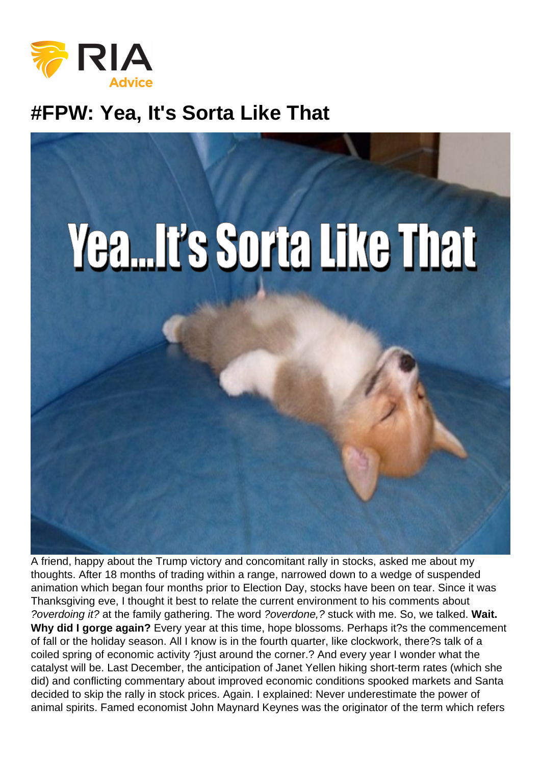## #FPW: Yea, It's Sorta Like That

A friend, happy about the Trump victory and concomitant rally in stocks, asked me about my thoughts. After 18 months of trading within a range, narrowed down to a wedge of suspended animation which began four months prior to Election Day, stocks have been on tear. Since it was Thanksgiving eve, I thought it best to relate the current environment to his comments about ?overdoing it? at the family gathering. The word ?overdone,? stuck with me. So, we talked. Wait. Why did I gorge again? Every year at this time, hope blossoms. Perhaps it?s the commencement of fall or the holiday season. All I know is in the fourth quarter, like clockwork, there?s talk of a coiled spring of economic activity ?just around the corner.? And every year I wonder what the catalyst will be. Last December, the anticipation of Janet Yellen hiking short-term rates (which she did) and conflicting commentary about improved economic conditions spooked markets and Santa decided to skip the rally in stock prices. Again. I explained: Never underestimate the power of animal spirits. Famed economist John Maynard Keynes was the originator of the term which refers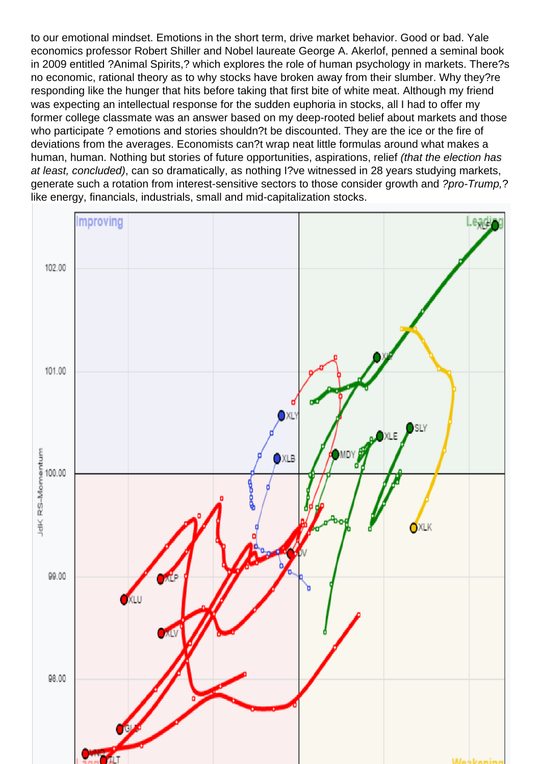to our emotional mindset. Emotions in the short term, drive market behavior. Good or bad. Yale economics professor Robert Shiller and Nobel laureate George A. Akerlof, penned a seminal book in 2009 entitled ?Animal Spirits,? which explores the role of human psychology in markets. There?s no economic, rational theory as to why stocks have broken away from their slumber. Why they?re responding like the hunger that hits before taking that first bite of white meat. Although my friend was expecting an intellectual response for the sudden euphoria in stocks, all I had to offer my former college classmate was an answer based on my deep-rooted belief about markets and those who participate ? emotions and stories shouldn?t be discounted. They are the ice or the fire of deviations from the averages. Economists can?t wrap neat little formulas around what makes a human, human. Nothing but stories of future opportunities, aspirations, relief (that the election has at least, concluded), can so dramatically, as nothing I?ve witnessed in 28 years studying markets, generate such a rotation from interest-sensitive sectors to those consider growth and ?pro-Trump,? like energy, financials, industrials, small and mid-capitalization stocks.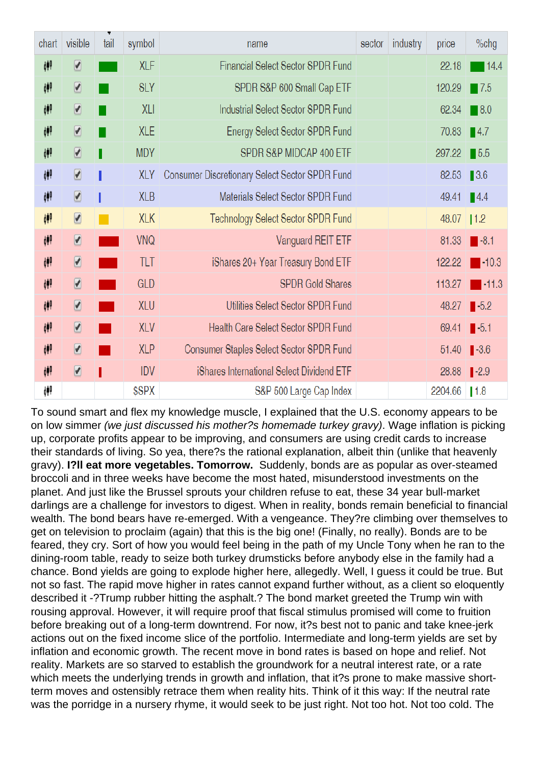To sound smart and flex my knowledge muscle, I explained that the U.S. economy appears to be on low simmer (we just discussed his mother?s homemade turkey gravy). Wage inflation is picking up, corporate profits appear to be improving, and consumers are using credit cards to increase their standards of living. So yea, there?s the rational explanation, albeit thin (unlike that heavenly gravy). I?ll eat more vegetables. Tomorrow. Suddenly, bonds are as popular as over-steamed broccoli and in three weeks have become the most hated, misunderstood investments on the planet. And just like the Brussel sprouts your children refuse to eat, these 34 year bull-market darlings are a challenge for investors to digest. When in reality, bonds remain beneficial to financial wealth. The bond bears have re-emerged. With a vengeance. They?re climbing over themselves to get on television to proclaim (again) that this is the big one! (Finally, no really). Bonds are to be feared, they cry. Sort of how you would feel being in the path of my Uncle Tony when he ran to the dining-room table, ready to seize both turkey drumsticks before anybody else in the family had a chance. Bond yields are going to explode higher here, allegedly. Well, I guess it could be true. But not so fast. The rapid move higher in rates cannot expand further without, as a client so eloquently described it -?Trump rubber hitting the asphalt.? The bond market greeted the Trump win with rousing approval. However, it will require proof that fiscal stimulus promised will come to fruition before breaking out of a long-term downtrend. For now, it?s best not to panic and take knee-jerk actions out on the fixed income slice of the portfolio. Intermediate and long-term yields are set by inflation and economic growth. The recent move in bond rates is based on hope and relief. Not reality. Markets are so starved to establish the groundwork for a neutral interest rate, or a rate which meets the underlying trends in growth and inflation, that it?s prone to make massive shortterm moves and ostensibly retrace them when reality hits. Think of it this way: If the neutral rate was the porridge in a nursery rhyme, it would seek to be just right. Not too hot. Not too cold. The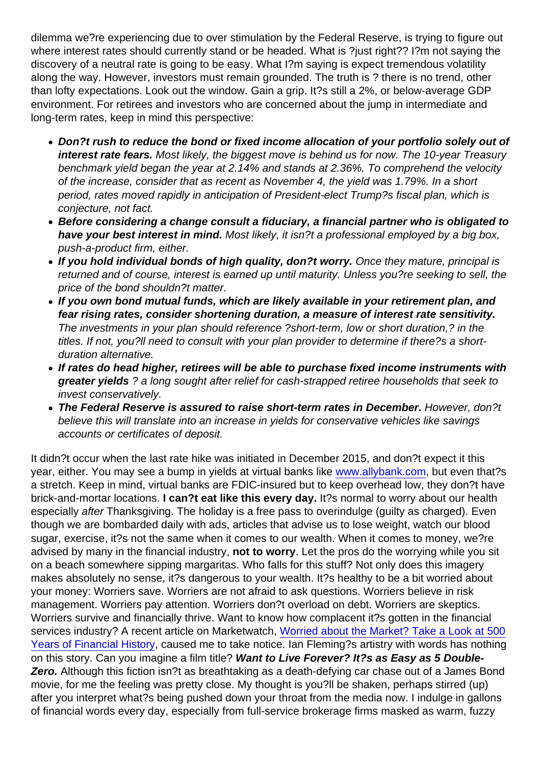dilemma we?re experiencing due to over stimulation by the Federal Reserve, is trying to figure out where interest rates should currently stand or be headed. What is ?just right?? I?m not saying the discovery of a neutral rate is going to be easy. What I?m saying is expect tremendous volatility along the way. However, investors must remain grounded. The truth is ? there is no trend, other than lofty expectations. Look out the window. Gain a grip. It?s still a 2%, or below-average GDP environment. For retirees and investors who are concerned about the jump in intermediate and long-term rates, keep in mind this perspective:

- Don?t rush to reduce the bond or fixed income allocation of your portfolio solely out of interest rate fears. Most likely, the biggest move is behind us for now. The 10-year Treasury benchmark yield began the year at 2.14% and stands at 2.36%. To comprehend the velocity of the increase, consider that as recent as November 4, the yield was 1.79%. In a short period, rates moved rapidly in anticipation of President-elect Trump?s fiscal plan, which is conjecture, not fact.
- Before considering a change consult a fiduciary, a financial partner who is obligated to have your best interest in mind. Most likely, it isn?t a professional employed by a big box, push-a-product firm, either.
- If you hold individual bonds of high quality, don?t worry. Once they mature, principal is returned and of course, interest is earned up until maturity. Unless you?re seeking to sell, the price of the bond shouldn?t matter.
- If you own bond mutual funds, which are likely available in your retirement plan, and fear rising rates, consider shortening duration, a measure of interest rate sensitivity. The investments in your plan should reference ?short-term, low or short duration,? in the titles. If not, you?ll need to consult with your plan provider to determine if there?s a shortduration alternative.
- If rates do head higher, retirees will be able to purchase fixed income instruments with greater yields ? a long sought after relief for cash-strapped retiree households that seek to invest conservatively.
- The Federal Reserve is assured to raise short-term rates in December. However, don?t believe this will translate into an increase in yields for conservative vehicles like savings accounts or certificates of deposit.

It didn?t occur when the last rate hike was initiated in December 2015, and don?t expect it this year, either. You may see a bump in yields at virtual banks like [www.allybank.com,](http://www.allybank.com) but even that?s a stretch. Keep in mind, virtual banks are FDIC-insured but to keep overhead low, they don?t have brick-and-mortar locations. I can?t eat like this every day. It?s normal to worry about our health especially after Thanksgiving. The holiday is a free pass to overindulge (guilty as charged). Even though we are bombarded daily with ads, articles that advise us to lose weight, watch our blood sugar, exercise, it?s not the same when it comes to our wealth. When it comes to money, we?re advised by many in the financial industry, not to worry . Let the pros do the worrying while you sit on a beach somewhere sipping margaritas. Who falls for this stuff? Not only does this imagery makes absolutely no sense, it?s dangerous to your wealth. It?s healthy to be a bit worried about your money: Worriers save. Worriers are not afraid to ask questions. Worriers believe in risk management. Worriers pay attention. Worriers don?t overload on debt. Worriers are skeptics. Worriers survive and financially thrive. Want to know how complacent it?s gotten in the financial services industry? A recent article on Marketwatch, [Worried about the Market? Take a Look at 500](http://www.marketwatch.com/story/worried-about-todays-market-take-a-look-at-this-chart-2016-11-03) [Years of Financial History,](http://www.marketwatch.com/story/worried-about-todays-market-take-a-look-at-this-chart-2016-11-03) caused me to take notice. Ian Fleming?s artistry with words has nothing on this story. Can you imagine a film title? Want to Live Forever? It?s as Easy as 5 Double-Zero. Although this fiction isn?t as breathtaking as a death-defying car chase out of a James Bond movie, for me the feeling was pretty close. My thought is you?ll be shaken, perhaps stirred (up) after you interpret what?s being pushed down your throat from the media now. I indulge in gallons of financial words every day, especially from full-service brokerage firms masked as warm, fuzzy